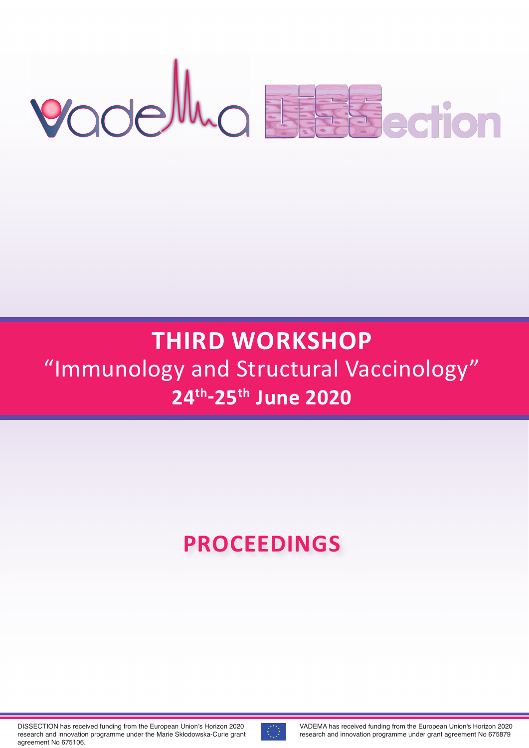# Yodelluo Essaerion

# **ThIRD WORkShOP** "Immunology and Structural Vaccinology" **24th-25th June 2020**

# **PROCEEDINGS**

DISSECTION has received funding from the European Union's Horizon 2020 research and innovation programme under the Marie Skłodowska-Curie grant agreement No 675106.



VADEMA has received funding from the European Union's Horizon 2020 research and innovation programme under grant agreement No 675879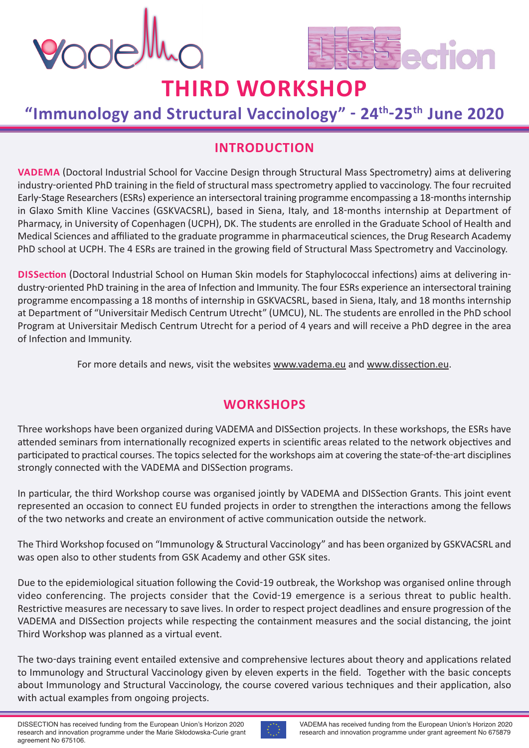



### **"Immunology and Structural Vaccinology" - 24th-25th June 2020**

### **INTRODUCTION**

**VADEMA** (Doctoral Industrial School for Vaccine Design through Structural Mass Spectrometry) aims at delivering industry-oriented PhD training in the field of structural mass spectrometry applied to vaccinology. The four recruited Early-Stage Researchers(ESRs) experience an intersectoral training programme encompassing a 18-monthsinternship in Glaxo Smith Kline Vaccines (GSKVACSRL), based in Siena, Italy, and 18-months internship at Department of Pharmacy, in University of Copenhagen (UCPH), DK. The students are enrolled in the Graduate School of Health and Medical Sciences and affiliated to the graduate programme in pharmaceuticalsciences, the Drug Research Academy PhD school at UCPH. The 4 ESRs are trained in the growing field of Structural Mass Spectrometry and Vaccinology.

**DISSection** (Doctoral Industrial School on Human Skin models for Staphylococcal infections) aims at delivering industry-oriented PhD training in the area of Infection and Immunity. The four ESRs experience an intersectoral training programme encompassing a 18 months of internship in GSKVACSRL, based in Siena, Italy, and 18 months internship at Department of "Universitair Medisch Centrum Utrecht" (UMCU), NL. The students are enrolled in the PhD school Program at Universitair Medisch Centrum Utrecht for a period of 4 years and will receive a PhD degree in the area of Infection and Immunity.

For more details and news, visit the websites www.vadema.eu and www.dissection.eu.

### **WORkShOPS**

Three workshops have been organized during VADEMA and DISSection projects. In these workshops, the ESRs have attended seminars from internationally recognized experts in scientific areas related to the network objectives and participated to practical courses. The topics selected for the workshops aim at covering the state-of-the-art disciplines strongly connected with the VADEMA and DISSection programs.

In particular, the third Workshop course was organised jointly by VADEMA and DISSection Grants. This joint event represented an occasion to connect EU funded projects in order to strengthen the interactions among the fellows of the two networks and create an environment of active communication outside the network.

The Third Workshop focused on "Immunology & Structural Vaccinology" and has been organized by GSKVACSRL and was open also to other students from GSK Academy and other GSK sites.

Due to the epidemiological situation following the Covid-19 outbreak, the Workshop was organised online through video conferencing. The projects consider that the Covid-19 emergence is a serious threat to public health. Restrictive measures are necessary to save lives. In order to respect project deadlines and ensure progression of the VADEMA and DISSection projects while respecting the containment measures and the social distancing, the joint Third Workshop was planned as a virtual event.

The two-days training event entailed extensive and comprehensive lectures about theory and applications related to Immunology and Structural Vaccinology given by eleven experts in the field. Together with the basic concepts about Immunology and Structural Vaccinology, the course covered various techniques and their application, also with actual examples from ongoing projects.

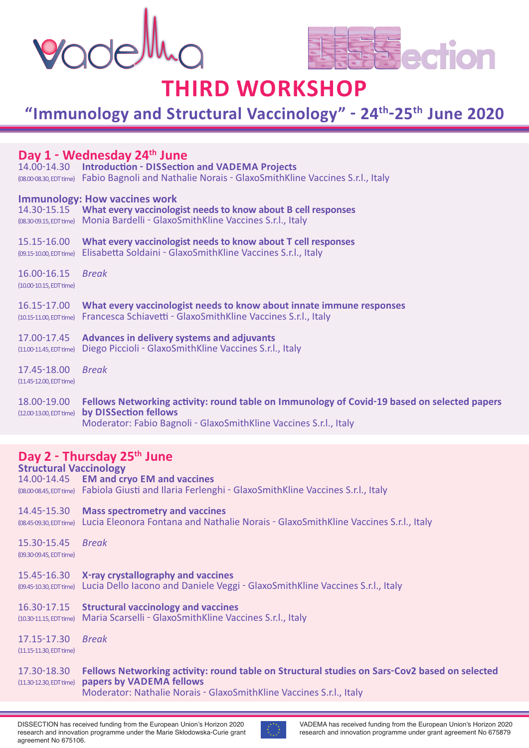



### **"Immunology and Structural Vaccinology" - 24th-25th June 2020**

### **Day 1 - Wednesday 24th June**

14.00-14.30 **Introduction - DISSection and VADEMA Projects** (08.00-08.30,EDTtime) Fabio Bagnoli and Nathalie Norais - GlaxoSmithKline Vaccines S.r.l., Italy

### **Immunology: how vaccines work**

|                                              | 14.30-15.15 What every vaccinologist needs to know about B cell responses<br>(08.30-09.15, EDT time) Monia Bardelli - Glaxo Smith Kline Vaccines S.r.l., Italy  |
|----------------------------------------------|-----------------------------------------------------------------------------------------------------------------------------------------------------------------|
| 15.15-16.00                                  | What every vaccinologist needs to know about T cell responses<br>(09.15-10.00, EDT time) Elisabetta Soldaini - Glaxo Smith Kline Vaccines S.r.l., Italy         |
| 16.00-16.15 Break<br>(10.00-10.15, EDT time) |                                                                                                                                                                 |
| 16.15-17.00                                  | What every vaccinologist needs to know about innate immune responses<br>(10.15-11.00, EDT time) Francesca Schiavetti - Glaxo Smith Kline Vaccines S.r.l., Italy |

17.00-17.45 **Advances in delivery systems and adjuvants** (11.00-11.45,EDTtime) Diego Piccioli - GlaxoSmithKline Vaccines S.r.l., Italy

17.45-18.00 *Break* (11.45-12.00, EDT time)

#### 18.00-19.00 **Fellows Networking activity: round table on Immunology of Covid-19 based on selected papers** (12.00-13.00,EDTtime) **by DISSection fellows** Moderator: Fabio Bagnoli - GlaxoSmithKline Vaccines S.r.l., Italy

### **Day 2 - Thursday 25th June**

**Structural Vaccinology** 14.00-14.45 **EM and cryo EM and vaccines** (08.00-08.45,EDTtime) Fabiola Giusti and Ilaria Ferlenghi - GlaxoSmithKline Vaccines S.r.l., Italy

### 14.45-15.30 **Mass spectrometry and vaccines**

(08.45-09.30,EDTtime) Lucia Eleonora Fontana and Nathalie Norais - GlaxoSmithKline Vaccines S.r.l., Italy

15.30-15.45 *Break* (09.30-09.45, EDT time)

- 15.45-16.30 **X-ray crystallography and vaccines**
- (09.45-10.30,EDTtime) Lucia Dello Iacono and Daniele Veggi GlaxoSmithKline Vaccines S.r.l., Italy
- 16.30-17.15 **Structural vaccinology and vaccines**

(10.30-11.15,EDTtime) Maria Scarselli - GlaxoSmithKline Vaccines S.r.l., Italy

17.15-17.30 *Break* (11.15-11.30, EDT time)

### 17.30-18.30 **Fellows Networking activity: round table on Structural studies on Sars-Cov2 based on selected** (11.30-12.30,EDTtime) **papers by VADEMA fellows** Moderator: Nathalie Norais - GlaxoSmithKline Vaccines S.r.l., Italy

DISSECTION has received funding from the European Union's Horizon 2020 research and innovation programme under the Marie Skłodowska-Curie grant agreement No 675106.

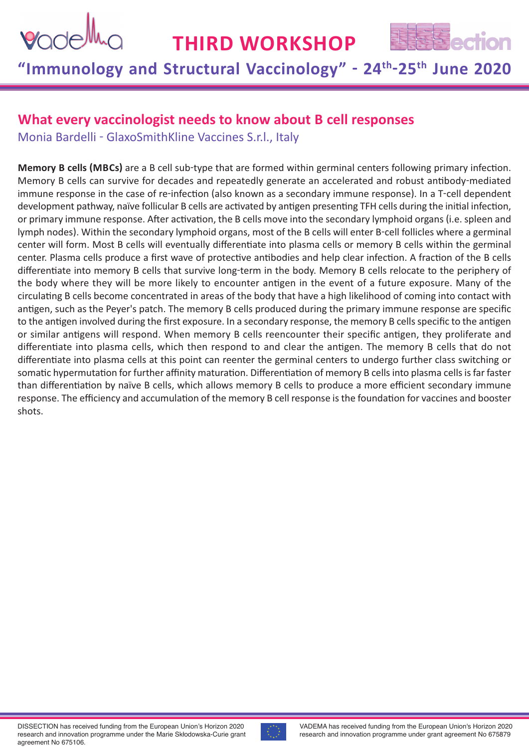



# **"Immunology and Structural Vaccinology" - 24th-25th June 2020**

### **What every vaccinologist needs to know about B cell responses**

Monia Bardelli - GlaxoSmithKline Vaccines S.r.l., Italy

**Memory B cells (MBCs)** are a B cell sub-type that are formed within germinal centers following primary infection. Memory B cells can survive for decades and repeatedly generate an accelerated and robust antibody-mediated immune response in the case of re-infection (also known as a secondary immune response). In a T-cell dependent development pathway, naïve follicular B cells are activated by antigen presenting TFH cells during the initial infection, or primary immune response. After activation, the B cells move into the secondary lymphoid organs (i.e. spleen and lymph nodes). Within the secondary lymphoid organs, most of the B cells will enter B-cell follicles where a germinal center will form. Most B cells will eventually differentiate into plasma cells or memory B cells within the germinal center. Plasma cells produce a first wave of protective antibodies and help clear infection. A fraction of the B cells differentiate into memory B cells that survive long-term in the body. Memory B cells relocate to the periphery of the body where they will be more likely to encounter antigen in the event of a future exposure. Many of the circulating B cells become concentrated in areas of the body that have a high likelihood of coming into contact with antigen, such as the Peyer's patch. The memory B cells produced during the primary immune response are specific to the antigen involved during the first exposure. In a secondary response, the memory B cells specific to the antigen or similar antigens will respond. When memory B cells reencounter their specific antigen, they proliferate and differentiate into plasma cells, which then respond to and clear the antigen. The memory B cells that do not differentiate into plasma cells at this point can reenter the germinal centers to undergo further class switching or somatic hypermutation for further affinity maturation. Differentiation of memory B cells into plasma cells is far faster than differentiation by naïve B cells, which allows memory B cells to produce a more efficient secondary immune response. The efficiency and accumulation of the memory B cell response is the foundation for vaccines and booster shots.

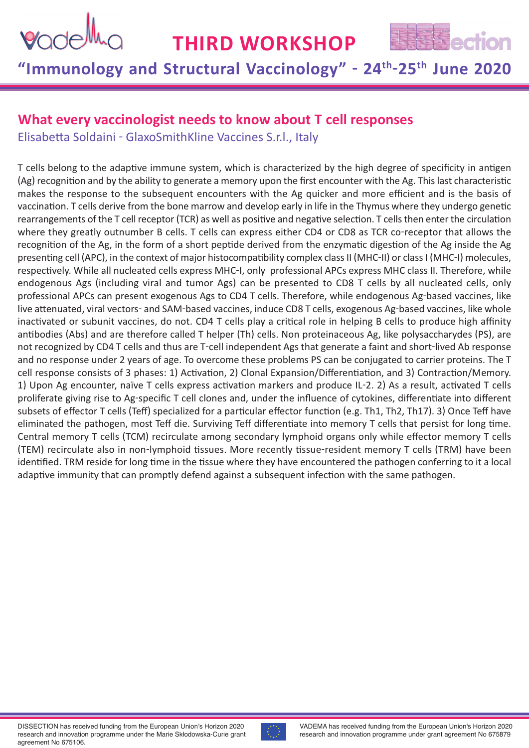



# **"Immunology and Structural Vaccinology" - 24th-25th June 2020**

### **What every vaccinologist needs to know about T cell responses**

Elisabetta Soldaini - GlaxoSmithKline Vaccines S.r.l., Italy

T cells belong to the adaptive immune system, which is characterized by the high degree of specificity in antigen (Ag) recognition and by the ability to generate a memory upon the first encounter with the Ag. Thislast characteristic makes the response to the subsequent encounters with the Ag quicker and more efficient and is the basis of vaccination. T cells derive from the bone marrow and develop early in life in the Thymus where they undergo genetic rearrangements of the T cell receptor (TCR) as well as positive and negative selection. T cells then enter the circulation where they greatly outnumber B cells. T cells can express either CD4 or CD8 as TCR co-receptor that allows the recognition of the Ag, in the form of a short peptide derived from the enzymatic digestion of the Ag inside the Ag presenting cell (APC), in the context of major histocompatibility complex class II (MHC-II) or class I (MHC-I) molecules, respectively. While all nucleated cells express MHC-I, only professional APCs express MHC class II. Therefore, while endogenous Ags (including viral and tumor Ags) can be presented to CD8 T cells by all nucleated cells, only professional APCs can present exogenous Ags to CD4 T cells. Therefore, while endogenous Ag-based vaccines, like live attenuated, viral vectors- and SAM-based vaccines, induce CD8 T cells, exogenous Ag-based vaccines, like whole inactivated or subunit vaccines, do not. CD4 T cells play a critical role in helping B cells to produce high affinity antibodies (Abs) and are therefore called T helper (Th) cells. Non proteinaceous Ag, like polysaccharydes (PS), are not recognized by CD4 T cells and thus are T-cell independent Ags that generate a faint and short-lived Ab response and no response under 2 years of age. To overcome these problems PS can be conjugated to carrier proteins. The T cell response consists of 3 phases: 1) Activation, 2) Clonal Expansion/Differentiation, and 3) Contraction/Memory. 1) Upon Ag encounter, naïve T cells express activation markers and produce IL-2. 2) As a result, activated T cells proliferate giving rise to Ag-specific T cell clones and, under the influence of cytokines, differentiate into different subsets of effector T cells (Teff) specialized for a particular effector function (e.g. Th1, Th2, Th17). 3) Once Teff have eliminated the pathogen, most Teff die. Surviving Teff differentiate into memory T cells that persist for long time. Central memory T cells (TCM) recirculate among secondary lymphoid organs only while effector memory T cells (TEM) recirculate also in non-lymphoid tissues. More recently tissue-resident memory T cells (TRM) have been identified. TRM reside for long time in the tissue where they have encountered the pathogen conferring to it a local adaptive immunity that can promptly defend against a subsequent infection with the same pathogen.

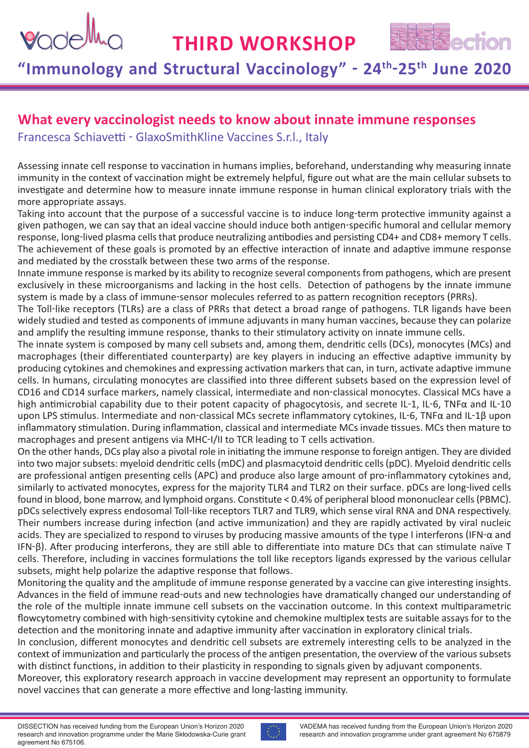# Vode

# **ThIRD WORkShOP**



# **"Immunology and Structural Vaccinology" - 24th-25th June 2020**

### **What every vaccinologist needs to know about innate immune responses**

Francesca Schiavetti - GlaxoSmithKline Vaccines S.r.l., Italy

Assessing innate cell response to vaccination in humans implies, beforehand, understanding why measuring innate immunity in the context of vaccination might be extremely helpful, figure out what are the main cellular subsets to investigate and determine how to measure innate immune response in human clinical exploratory trials with the more appropriate assays.

Taking into account that the purpose of a successful vaccine is to induce long-term protective immunity against a given pathogen, we can say that an ideal vaccine should induce both antigen-specific humoral and cellular memory response, long-lived plasma cells that produce neutralizing antibodies and persisting CD4+ and CD8+ memory T cells. The achievement of these goals is promoted by an effective interaction of innate and adaptive immune response and mediated by the crosstalk between these two arms of the response.

Innate immune response is marked by its ability to recognize several components from pathogens, which are present exclusively in these microorganisms and lacking in the host cells. Detection of pathogens by the innate immune system is made by a class of immune-sensor molecules referred to as pattern recognition receptors (PRRs).

The Toll-like receptors (TLRs) are a class of PRRs that detect a broad range of pathogens. TLR ligands have been widely studied and tested as components of immune adjuvants in many human vaccines, because they can polarize and amplify the resulting immune response, thanks to their stimulatory activity on innate immune cells.

The innate system is composed by many cell subsets and, among them, dendritic cells (DCs), monocytes (MCs) and macrophages (their differentiated counterparty) are key players in inducing an effective adaptive immunity by producing cytokines and chemokines and expressing activation markers that can, in turn, activate adaptive immune cells. In humans, circulating monocytes are classified into three different subsets based on the expression level of CD16 and CD14 surface markers, namely classical, intermediate and non-classical monocytes. Classical MCs have a high antimicrobial capability due to their potent capacity of phagocytosis, and secrete IL-1, IL-6, TNFα and IL-10 upon LPS stimulus. Intermediate and non-classical MCs secrete inflammatory cytokines, IL-6, TNFα and IL-1β upon inflammatory stimulation. During inflammation, classical and intermediate MCs invade tissues. MCs then mature to macrophages and present antigens via MHC-I/II to TCR leading to T cells activation.

On the other hands, DCs play also a pivotal role in initiating the immune response to foreign antigen. They are divided into two majorsubsets: myeloid dendritic cells(mDC) and plasmacytoid dendritic cells(pDC). Myeloid dendritic cells are professional antigen presenting cells (APC) and produce also large amount of pro-inflammatory cytokines and, similarly to activated monocytes, express for the majority TLR4 and TLR2 on their surface. pDCs are long-lived cells found in blood, bone marrow, and lymphoid organs. Constitute < 0.4% of peripheral blood mononuclear cells(PBMC). pDCs selectively express endosomal Toll-like receptors TLR7 and TLR9, which sense viral RNA and DNA respectively. Their numbers increase during infection (and active immunization) and they are rapidly activated by viral nucleic acids. They are specialized to respond to viruses by producing massive amounts of the type I interferons (IFN- $\alpha$  and IFN-β). After producing interferons, they are still able to differentiate into mature DCs that can stimulate naïve T cells. Therefore, including in vaccines formulations the toll like receptors ligands expressed by the various cellular subsets, might help polarize the adaptive response that follows.

Monitoring the quality and the amplitude of immune response generated by a vaccine can give interesting insights. Advances in the field of immune read-outs and new technologies have dramatically changed our understanding of the role of the multiple innate immune cell subsets on the vaccination outcome. In this context multiparametric flowcytometry combined with high-sensitivity cytokine and chemokine multiplex tests are suitable assays for to the detection and the monitoring innate and adaptive immunity after vaccination in exploratory clinical trials.

In conclusion, different monocytes and dendritic cell subsets are extremely interesting cells to be analyzed in the context of immunization and particularly the process of the antigen presentation, the overview of the various subsets with distinct functions, in addition to their plasticity in responding to signals given by adjuvant components.

Moreover, this exploratory research approach in vaccine development may represent an opportunity to formulate novel vaccines that can generate a more effective and long-lasting immunity.

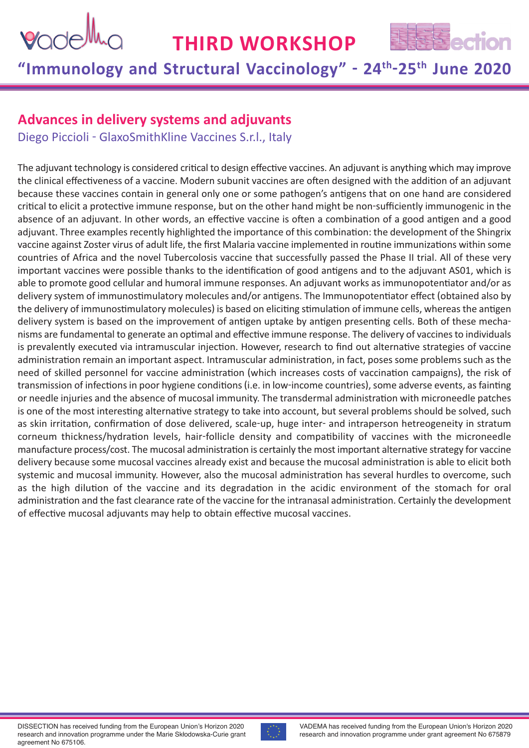



# **"Immunology and Structural Vaccinology" - 24th-25th June 2020**

### **Advances in delivery systems and adjuvants**

Diego Piccioli - GlaxoSmithKline Vaccines S.r.l., Italy

The adjuvant technology is considered critical to design effective vaccines. An adjuvant is anything which may improve the clinical effectiveness of a vaccine. Modern subunit vaccines are often designed with the addition of an adjuvant because these vaccines contain in general only one or some pathogen's antigens that on one hand are considered critical to elicit a protective immune response, but on the other hand might be non-sufficiently immunogenic in the absence of an adjuvant. In other words, an effective vaccine is often a combination of a good antigen and a good adjuvant. Three examples recently highlighted the importance of this combination: the development of the Shingrix vaccine against Zoster virus of adult life, the first Malaria vaccine implemented in routine immunizations within some countries of Africa and the novel Tubercolosis vaccine that successfully passed the Phase II trial. All of these very important vaccines were possible thanks to the identification of good antigens and to the adjuvant AS01, which is able to promote good cellular and humoral immune responses. An adjuvant works asimmunopotentiator and/or as delivery system of immunostimulatory molecules and/or antigens. The Immunopotentiator effect (obtained also by the delivery of immunostimulatory molecules) is based on eliciting stimulation of immune cells, whereas the antigen delivery system is based on the improvement of antigen uptake by antigen presenting cells. Both of these mechanisms are fundamental to generate an optimal and effective immune response. The delivery of vaccines to individuals is prevalently executed via intramuscular injection. However, research to find out alternative strategies of vaccine administration remain an important aspect. Intramuscular administration, in fact, poses some problems such as the need of skilled personnel for vaccine administration (which increases costs of vaccination campaigns), the risk of transmission of infections in poor hygiene conditions (i.e. in low-income countries), some adverse events, as fainting or needle injuries and the absence of mucosal immunity. The transdermal administration with microneedle patches is one of the most interesting alternative strategy to take into account, but several problems should be solved, such as skin irritation, confirmation of dose delivered, scale-up, huge inter- and intraperson hetreogeneity in stratum corneum thickness/hydration levels, hair-follicle density and compatibility of vaccines with the microneedle manufacture process/cost. The mucosal administration is certainly the most important alternative strategy for vaccine delivery because some mucosal vaccines already exist and because the mucosal administration is able to elicit both systemic and mucosal immunity. However, also the mucosal administration has several hurdles to overcome, such as the high dilution of the vaccine and its degradation in the acidic environment of the stomach for oral administration and the fast clearance rate of the vaccine for the intranasal administration. Certainly the development of effective mucosal adjuvants may help to obtain effective mucosal vaccines.

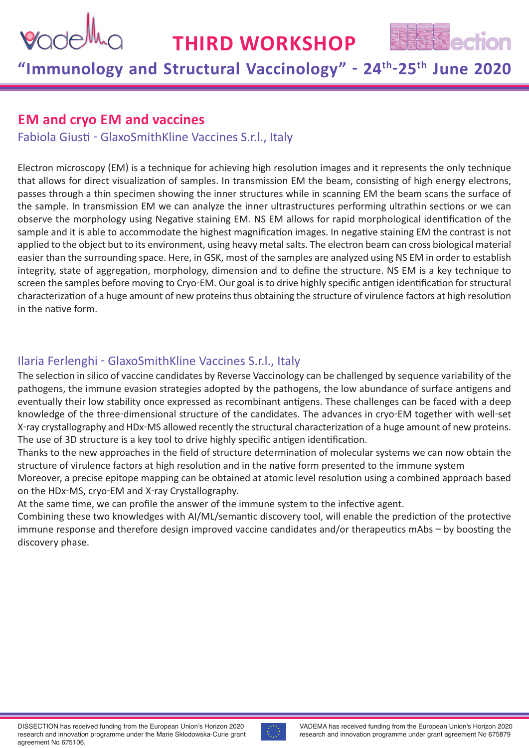



# **"Immunology and Structural Vaccinology" - 24th-25th June 2020**

### **EM and cryo EM and vaccines**

Fabiola Giusti - GlaxoSmithKline Vaccines S.r.l., Italy

Electron microscopy (EM) is a technique for achieving high resolution images and it represents the only technique that allows for direct visualization of samples. In transmission EM the beam, consisting of high energy electrons, passes through a thin specimen showing the inner structures while in scanning EM the beam scans the surface of the sample. In transmission EM we can analyze the inner ultrastructures performing ultrathin sections or we can observe the morphology using Negative staining EM. NS EM allows for rapid morphological identification of the sample and it is able to accommodate the highest magnification images. In negative staining EM the contrast is not applied to the object but to its environment, using heavy metalsalts. The electron beam can cross biological material easier than the surrounding space. Here, in GSK, most of the samples are analyzed using NS EM in order to establish integrity, state of aggregation, morphology, dimension and to define the structure. NS EM is a key technique to screen the samples before moving to Cryo-EM. Our goal is to drive highly specific antigen identification for structural characterization of a huge amount of new proteins thus obtaining the structure of virulence factors at high resolution in the native form.

### Ilaria Ferlenghi - GlaxoSmithKline Vaccines S.r.l., Italy

The selection in silico of vaccine candidates by Reverse Vaccinology can be challenged by sequence variability of the pathogens, the immune evasion strategies adopted by the pathogens, the low abundance of surface antigens and eventually their low stability once expressed as recombinant antigens. These challenges can be faced with a deep knowledge of the three-dimensional structure of the candidates. The advances in cryo-EM together with well-set X-ray crystallography and HDx-MS allowed recently the structural characterization of a huge amount of new proteins. The use of 3D structure is a key tool to drive highly specific antigen identification.

Thanks to the new approaches in the field of structure determination of molecular systems we can now obtain the structure of virulence factors at high resolution and in the native form presented to the immune system

Moreover, a precise epitope mapping can be obtained at atomic level resolution using a combined approach based on the HDx-MS, cryo-EM and X-ray Crystallography.

At the same time, we can profile the answer of the immune system to the infective agent.

Combining these two knowledges with AI/ML/semantic discovery tool, will enable the prediction of the protective immune response and therefore design improved vaccine candidates and/or therapeutics mAbs – by boosting the discovery phase.

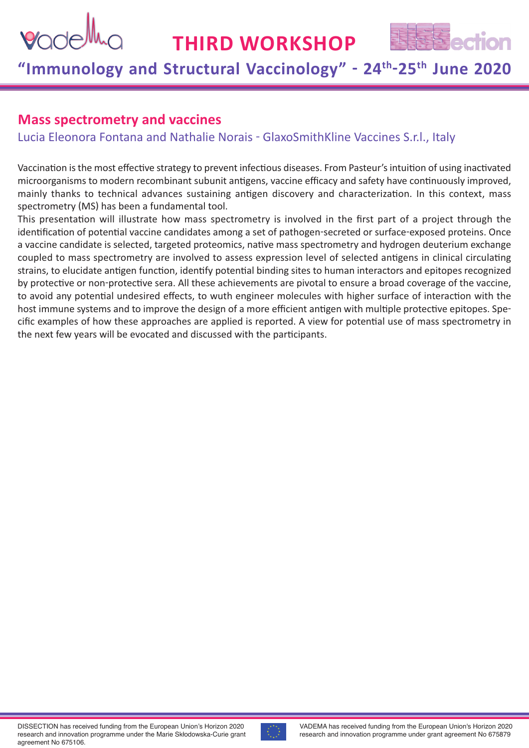



# **"Immunology and Structural Vaccinology" - 24th-25th June 2020**

### **Mass spectrometry and vaccines**

Lucia Eleonora Fontana and Nathalie Norais - GlaxoSmithKline Vaccines S.r.l., Italy

Vaccination is the most effective strategy to prevent infectious diseases. From Pasteur's intuition of using inactivated microorganisms to modern recombinant subunit antigens, vaccine efficacy and safety have continuously improved, mainly thanks to technical advances sustaining antigen discovery and characterization. In this context, mass spectrometry (MS) has been a fundamental tool.

This presentation will illustrate how mass spectrometry is involved in the first part of a project through the identification of potential vaccine candidates among a set of pathogen-secreted or surface-exposed proteins. Once a vaccine candidate is selected, targeted proteomics, native mass spectrometry and hydrogen deuterium exchange coupled to mass spectrometry are involved to assess expression level of selected antigens in clinical circulating strains, to elucidate antigen function, identify potential binding sites to human interactors and epitopes recognized by protective or non-protective sera. All these achievements are pivotal to ensure a broad coverage of the vaccine, to avoid any potential undesired effects, to wuth engineer molecules with higher surface of interaction with the host immune systems and to improve the design of a more efficient antigen with multiple protective epitopes. Specific examples of how these approaches are applied is reported. A view for potential use of mass spectrometry in the next few years will be evocated and discussed with the participants.

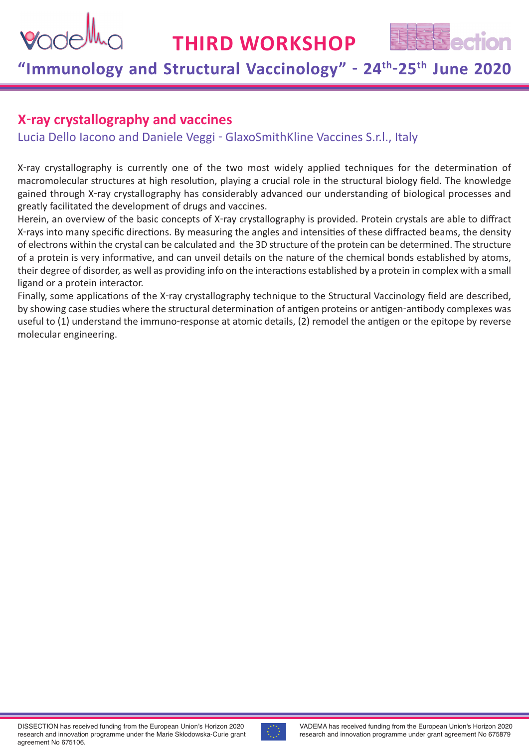

# **"Immunology and Structural Vaccinology" - 24th-25th June 2020**

### **X-ray crystallography and vaccines**

Lucia Dello Iacono and Daniele Veggi - GlaxoSmithKline Vaccines S.r.l., Italy

X-ray crystallography is currently one of the two most widely applied techniques for the determination of macromolecular structures at high resolution, playing a crucial role in the structural biology field. The knowledge gained through X-ray crystallography has considerably advanced our understanding of biological processes and greatly facilitated the development of drugs and vaccines.

Herein, an overview of the basic concepts of X-ray crystallography is provided. Protein crystals are able to diffract X-rays into many specific directions. By measuring the angles and intensities of these diffracted beams, the density of electrons within the crystal can be calculated and the 3D structure of the protein can be determined. The structure of a protein is very informative, and can unveil details on the nature of the chemical bonds established by atoms, their degree of disorder, as well as providing info on the interactions established by a protein in complex with a small ligand or a protein interactor.

Finally, some applications of the X-ray crystallography technique to the Structural Vaccinology field are described, by showing case studies where the structural determination of antigen proteins or antigen-antibody complexes was useful to (1) understand the immuno-response at atomic details, (2) remodel the antigen or the epitope by reverse molecular engineering.

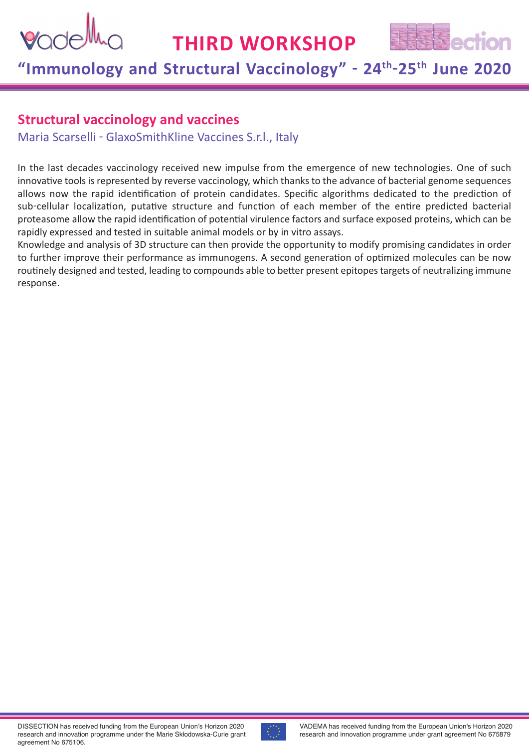

# **"Immunology and Structural Vaccinology" - 24th-25th June 2020**

### **Structural vaccinology and vaccines**

Maria Scarselli - GlaxoSmithKline Vaccines S.r.l., Italy

In the last decades vaccinology received new impulse from the emergence of new technologies. One of such innovative tools is represented by reverse vaccinology, which thanks to the advance of bacterial genome sequences allows now the rapid identification of protein candidates. Specific algorithms dedicated to the prediction of sub-cellular localization, putative structure and function of each member of the entire predicted bacterial proteasome allow the rapid identification of potential virulence factors and surface exposed proteins, which can be rapidly expressed and tested in suitable animal models or by in vitro assays.

Knowledge and analysis of 3D structure can then provide the opportunity to modify promising candidates in order to further improve their performance as immunogens. A second generation of optimized molecules can be now routinely designed and tested, leading to compounds able to better present epitopes targets of neutralizing immune response.